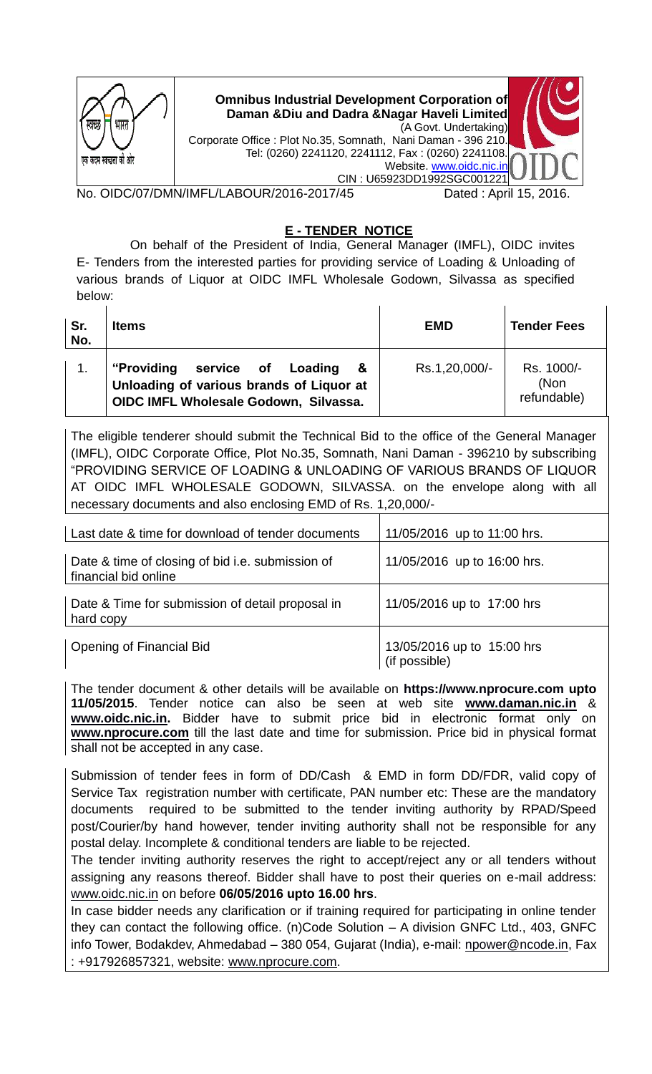| भारत<br>एक कदम स्वच्छता को आर | <b>Omnibus Industrial Development Corporation of</b><br>Daman & Diu and Dadra & Nagar Haveli Limited<br>Corporate Office : Plot No.35, Somnath, Nani Daman - 396 210.<br>Tel: (0260) 2241120, 2241112, Fax: (0260) 2241108. | (A Govt. Undertaking)<br>Website. www.oidc.nic.in |  |
|-------------------------------|-----------------------------------------------------------------------------------------------------------------------------------------------------------------------------------------------------------------------------|---------------------------------------------------|--|
|                               |                                                                                                                                                                                                                             | CIN: U65923DD1992SGC00122                         |  |
|                               | าMN/IMFL /LAR∩LIR/2∩16-2∩17/45                                                                                                                                                                                              | Dated · Anril 15–2016                             |  |

/ated : April 15, 2016.

## **E - TENDER NOTICE**

 On behalf of the President of India, General Manager (IMFL), OIDC invites E- Tenders from the interested parties for providing service of Loading & Unloading of various brands of Liquor at OIDC IMFL Wholesale Godown, Silvassa as specified below:

| Sr.<br>No. | <b>Items</b>                                                                                                                | <b>EMD</b>    | <b>Tender Fees</b>                |
|------------|-----------------------------------------------------------------------------------------------------------------------------|---------------|-----------------------------------|
|            | "Providing"<br>service of Loading<br>&<br>Unloading of various brands of Liquor at<br>OIDC IMFL Wholesale Godown, Silvassa. | Rs.1,20,000/- | Rs. 1000/-<br>(Non<br>refundable) |

The eligible tenderer should submit the Technical Bid to the office of the General Manager (IMFL), OIDC Corporate Office, Plot No.35, Somnath, Nani Daman - 396210 by subscribing "PROVIDING SERVICE OF LOADING & UNLOADING OF VARIOUS BRANDS OF LIQUOR AT OIDC IMFL WHOLESALE GODOWN, SILVASSA. on the envelope along with all necessary documents and also enclosing EMD of Rs. 1,20,000/-

| Last date & time for download of tender documents                        | 11/05/2016 up to 11:00 hrs.                 |
|--------------------------------------------------------------------------|---------------------------------------------|
| Date & time of closing of bid i.e. submission of<br>financial bid online | 11/05/2016 up to 16:00 hrs.                 |
| Date & Time for submission of detail proposal in<br>hard copy            | 11/05/2016 up to 17:00 hrs                  |
| <b>Opening of Financial Bid</b>                                          | 13/05/2016 up to 15:00 hrs<br>(if possible) |

The tender document & other details will be available on **https://www.nprocure.com upto 11/05/2015**. Tender notice can also be seen at web site **[www.daman.nic.in](http://www.daman.nic.in/)** & **[www.oidc.nic.in.](http://www.oidc.nic.in/)** Bidder have to submit price bid in electronic format only on **[www.nprocure.com](http://www.nprocure.com/)** till the last date and time for submission. Price bid in physical format shall not be accepted in any case.

Submission of tender fees in form of DD/Cash & EMD in form DD/FDR, valid copy of Service Tax registration number with certificate, PAN number etc: These are the mandatory documents required to be submitted to the tender inviting authority by RPAD/Speed post/Courier/by hand however, tender inviting authority shall not be responsible for any postal delay. Incomplete & conditional tenders are liable to be rejected.

The tender inviting authority reserves the right to accept/reject any or all tenders without assigning any reasons thereof. Bidder shall have to post their queries on e-mail address: [www.oidc.nic.in](http://www.oidc.nic.in/) on before **06/05/2016 upto 16.00 hrs**.

In case bidder needs any clarification or if training required for participating in online tender they can contact the following office. (n)Code Solution – A division GNFC Ltd., 403, GNFC info Tower, Bodakdev, Ahmedabad – 380 054, Gujarat (India), e-mail: [npower@ncode.in,](mailto:npower@ncode.in) Fax : +917926857321, website: [www.nprocure.com.](http://www.nprocure.com/)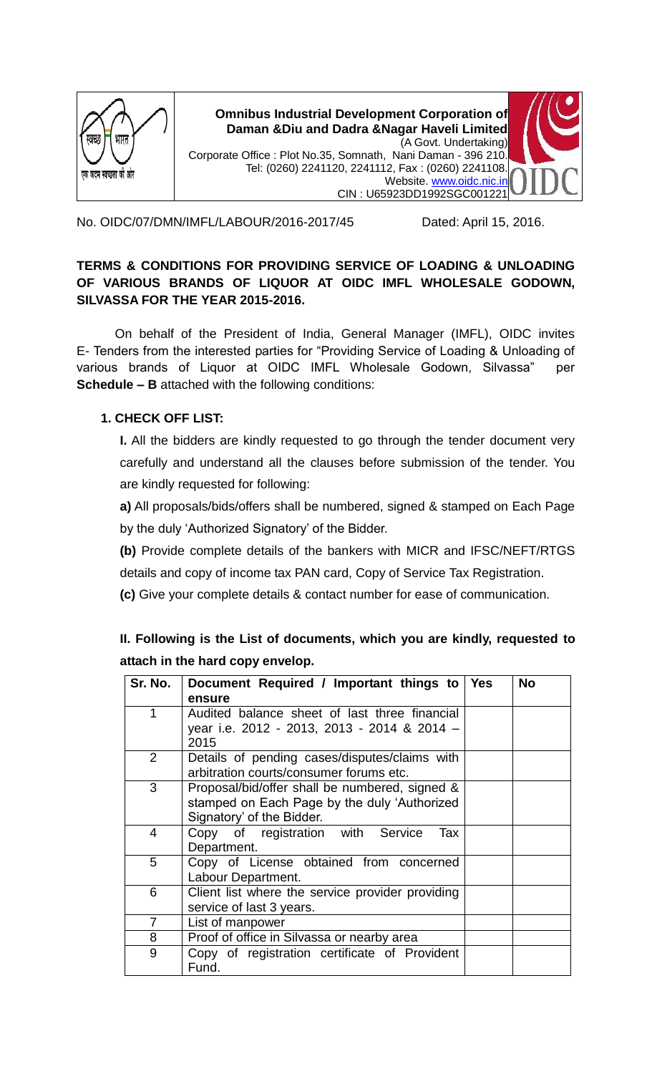

**Omnibus Industrial Development Corporation of Daman &Diu and Dadra &Nagar Haveli Limited** (A Govt. Undertaking) Corporate Office : Plot No.35, Somnath, Nani Daman - 396 210. Tel: (0260) 2241120, 2241112, Fax : (0260) 2241108. Website. [www.oidc.nic.in](http://www.oidc.nic.in/) CIN : U65923DD1992SGC001221



No. OIDC/07/DMN/IMFL/LABOUR/2016-2017/45 Dated: April 15, 2016.

## **TERMS & CONDITIONS FOR PROVIDING SERVICE OF LOADING & UNLOADING OF VARIOUS BRANDS OF LIQUOR AT OIDC IMFL WHOLESALE GODOWN, SILVASSA FOR THE YEAR 2015-2016.**

On behalf of the President of India, General Manager (IMFL), OIDC invites E- Tenders from the interested parties for "Providing Service of Loading & Unloading of various brands of Liquor at OIDC IMFL Wholesale Godown, Silvassa" per **Schedule – B** attached with the following conditions:

## **1. CHECK OFF LIST:**

**I.** All the bidders are kindly requested to go through the tender document very carefully and understand all the clauses before submission of the tender. You are kindly requested for following:

**a)** All proposals/bids/offers shall be numbered, signed & stamped on Each Page by the duly "Authorized Signatory" of the Bidder.

**(b)** Provide complete details of the bankers with MICR and IFSC/NEFT/RTGS details and copy of income tax PAN card, Copy of Service Tax Registration.

**(c)** Give your complete details & contact number for ease of communication.

**II. Following is the List of documents, which you are kindly, requested to attach in the hard copy envelop.** 

| Sr. No.        | Document Required / Important things to Yes<br>ensure                                                                       | <b>No</b> |
|----------------|-----------------------------------------------------------------------------------------------------------------------------|-----------|
| 1              | Audited balance sheet of last three financial<br>year i.e. 2012 - 2013, 2013 - 2014 & 2014 –<br>2015                        |           |
| 2              | Details of pending cases/disputes/claims with<br>arbitration courts/consumer forums etc.                                    |           |
| 3              | Proposal/bid/offer shall be numbered, signed &<br>stamped on Each Page by the duly 'Authorized<br>Signatory' of the Bidder. |           |
| 4              | Copy of registration with Service<br>Tax<br>Department.                                                                     |           |
| 5              | Copy of License obtained from concerned<br>Labour Department.                                                               |           |
| 6              | Client list where the service provider providing<br>service of last 3 years.                                                |           |
| $\overline{7}$ | List of manpower                                                                                                            |           |
| 8              | Proof of office in Silvassa or nearby area                                                                                  |           |
| 9              | Copy of registration certificate of Provident<br>Fund.                                                                      |           |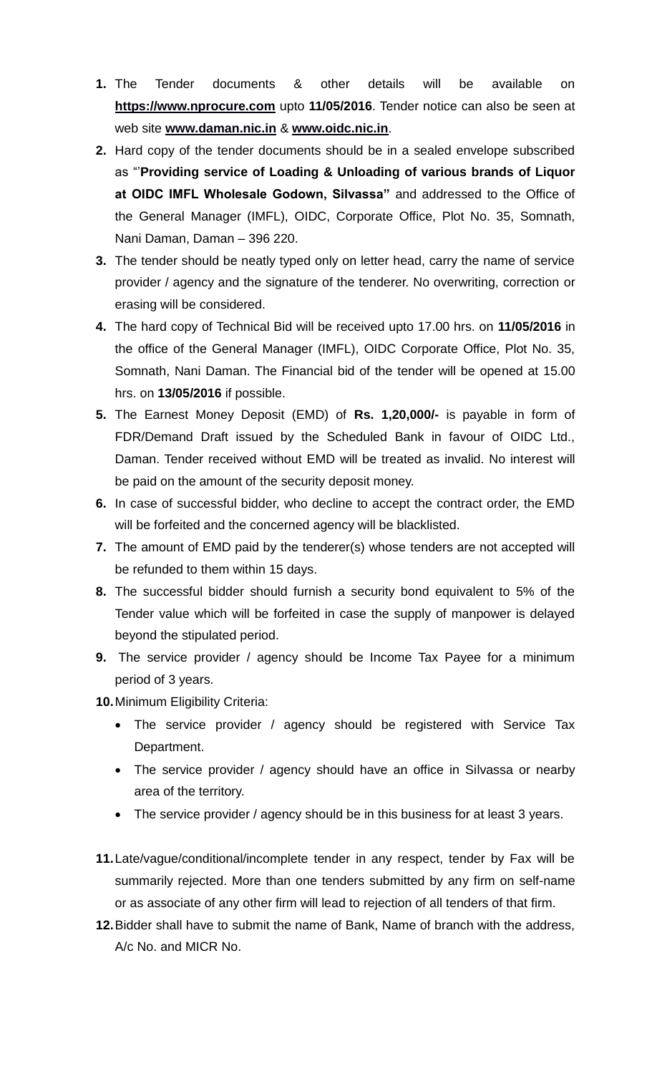- **1.** The Tender documents & other details will be available on **[https://www.nprocure.com](https://www.nprocure.com/)** upto **11/05/2016**. Tender notice can also be seen at web site **[www.daman.nic.in](http://www.daman.nic.in/)** & **[www.oidc.nic.in](http://www.oidc.nic.in/)**.
- **2.** Hard copy of the tender documents should be in a sealed envelope subscribed as ""**Providing service of Loading & Unloading of various brands of Liquor at OIDC IMFL Wholesale Godown, Silvassa"** and addressed to the Office of the General Manager (IMFL), OIDC, Corporate Office, Plot No. 35, Somnath, Nani Daman, Daman – 396 220.
- **3.** The tender should be neatly typed only on letter head, carry the name of service provider / agency and the signature of the tenderer. No overwriting, correction or erasing will be considered.
- **4.** The hard copy of Technical Bid will be received upto 17.00 hrs. on **11/05/2016** in the office of the General Manager (IMFL), OIDC Corporate Office, Plot No. 35, Somnath, Nani Daman. The Financial bid of the tender will be opened at 15.00 hrs. on **13/05/2016** if possible.
- **5.** The Earnest Money Deposit (EMD) of **Rs. 1,20,000/-** is payable in form of FDR/Demand Draft issued by the Scheduled Bank in favour of OIDC Ltd., Daman. Tender received without EMD will be treated as invalid. No interest will be paid on the amount of the security deposit money.
- **6.** In case of successful bidder, who decline to accept the contract order, the EMD will be forfeited and the concerned agency will be blacklisted.
- **7.** The amount of EMD paid by the tenderer(s) whose tenders are not accepted will be refunded to them within 15 days.
- **8.** The successful bidder should furnish a security bond equivalent to 5% of the Tender value which will be forfeited in case the supply of manpower is delayed beyond the stipulated period.
- **9.** The service provider / agency should be Income Tax Payee for a minimum period of 3 years.
- **10.**Minimum Eligibility Criteria:
	- The service provider / agency should be registered with Service Tax Department.
	- The service provider / agency should have an office in Silvassa or nearby area of the territory.
	- The service provider / agency should be in this business for at least 3 years.
- **11.**Late/vague/conditional/incomplete tender in any respect, tender by Fax will be summarily rejected. More than one tenders submitted by any firm on self-name or as associate of any other firm will lead to rejection of all tenders of that firm.
- **12.**Bidder shall have to submit the name of Bank, Name of branch with the address, A/c No. and MICR No.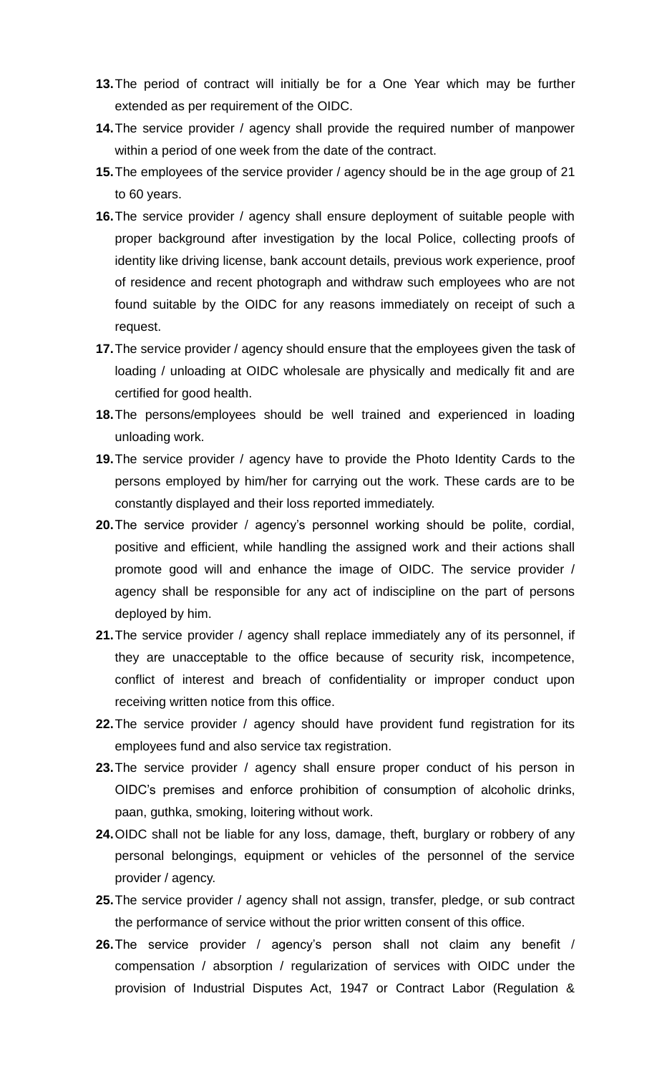- **13.**The period of contract will initially be for a One Year which may be further extended as per requirement of the OIDC.
- **14.**The service provider / agency shall provide the required number of manpower within a period of one week from the date of the contract.
- **15.**The employees of the service provider / agency should be in the age group of 21 to 60 years.
- **16.**The service provider / agency shall ensure deployment of suitable people with proper background after investigation by the local Police, collecting proofs of identity like driving license, bank account details, previous work experience, proof of residence and recent photograph and withdraw such employees who are not found suitable by the OIDC for any reasons immediately on receipt of such a request.
- **17.**The service provider / agency should ensure that the employees given the task of loading / unloading at OIDC wholesale are physically and medically fit and are certified for good health.
- **18.**The persons/employees should be well trained and experienced in loading unloading work.
- **19.**The service provider / agency have to provide the Photo Identity Cards to the persons employed by him/her for carrying out the work. These cards are to be constantly displayed and their loss reported immediately.
- **20.**The service provider / agency"s personnel working should be polite, cordial, positive and efficient, while handling the assigned work and their actions shall promote good will and enhance the image of OIDC. The service provider / agency shall be responsible for any act of indiscipline on the part of persons deployed by him.
- **21.**The service provider / agency shall replace immediately any of its personnel, if they are unacceptable to the office because of security risk, incompetence, conflict of interest and breach of confidentiality or improper conduct upon receiving written notice from this office.
- **22.**The service provider / agency should have provident fund registration for its employees fund and also service tax registration.
- **23.**The service provider / agency shall ensure proper conduct of his person in OIDC"s premises and enforce prohibition of consumption of alcoholic drinks, paan, guthka, smoking, loitering without work.
- **24.**OIDC shall not be liable for any loss, damage, theft, burglary or robbery of any personal belongings, equipment or vehicles of the personnel of the service provider / agency.
- **25.**The service provider / agency shall not assign, transfer, pledge, or sub contract the performance of service without the prior written consent of this office.
- **26.**The service provider / agency"s person shall not claim any benefit / compensation / absorption / regularization of services with OIDC under the provision of Industrial Disputes Act, 1947 or Contract Labor (Regulation &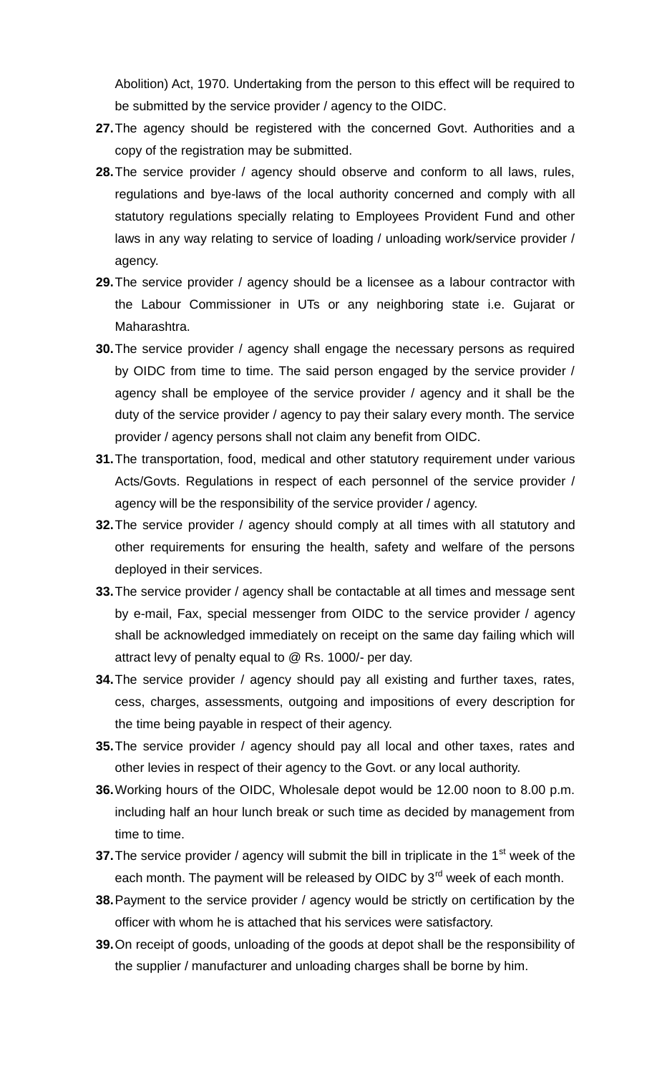Abolition) Act, 1970. Undertaking from the person to this effect will be required to be submitted by the service provider / agency to the OIDC.

- **27.**The agency should be registered with the concerned Govt. Authorities and a copy of the registration may be submitted.
- **28.**The service provider / agency should observe and conform to all laws, rules, regulations and bye-laws of the local authority concerned and comply with all statutory regulations specially relating to Employees Provident Fund and other laws in any way relating to service of loading / unloading work/service provider / agency.
- **29.**The service provider / agency should be a licensee as a labour contractor with the Labour Commissioner in UTs or any neighboring state i.e. Gujarat or Maharashtra.
- **30.**The service provider / agency shall engage the necessary persons as required by OIDC from time to time. The said person engaged by the service provider / agency shall be employee of the service provider / agency and it shall be the duty of the service provider / agency to pay their salary every month. The service provider / agency persons shall not claim any benefit from OIDC.
- **31.**The transportation, food, medical and other statutory requirement under various Acts/Govts. Regulations in respect of each personnel of the service provider / agency will be the responsibility of the service provider / agency.
- **32.**The service provider / agency should comply at all times with all statutory and other requirements for ensuring the health, safety and welfare of the persons deployed in their services.
- **33.**The service provider / agency shall be contactable at all times and message sent by e-mail, Fax, special messenger from OIDC to the service provider / agency shall be acknowledged immediately on receipt on the same day failing which will attract levy of penalty equal to @ Rs. 1000/- per day.
- **34.**The service provider / agency should pay all existing and further taxes, rates, cess, charges, assessments, outgoing and impositions of every description for the time being payable in respect of their agency.
- **35.**The service provider / agency should pay all local and other taxes, rates and other levies in respect of their agency to the Govt. or any local authority.
- **36.**Working hours of the OIDC, Wholesale depot would be 12.00 noon to 8.00 p.m. including half an hour lunch break or such time as decided by management from time to time.
- **37.** The service provider / agency will submit the bill in triplicate in the 1<sup>st</sup> week of the each month. The payment will be released by OIDC by 3<sup>rd</sup> week of each month.
- **38.**Payment to the service provider / agency would be strictly on certification by the officer with whom he is attached that his services were satisfactory.
- **39.**On receipt of goods, unloading of the goods at depot shall be the responsibility of the supplier / manufacturer and unloading charges shall be borne by him.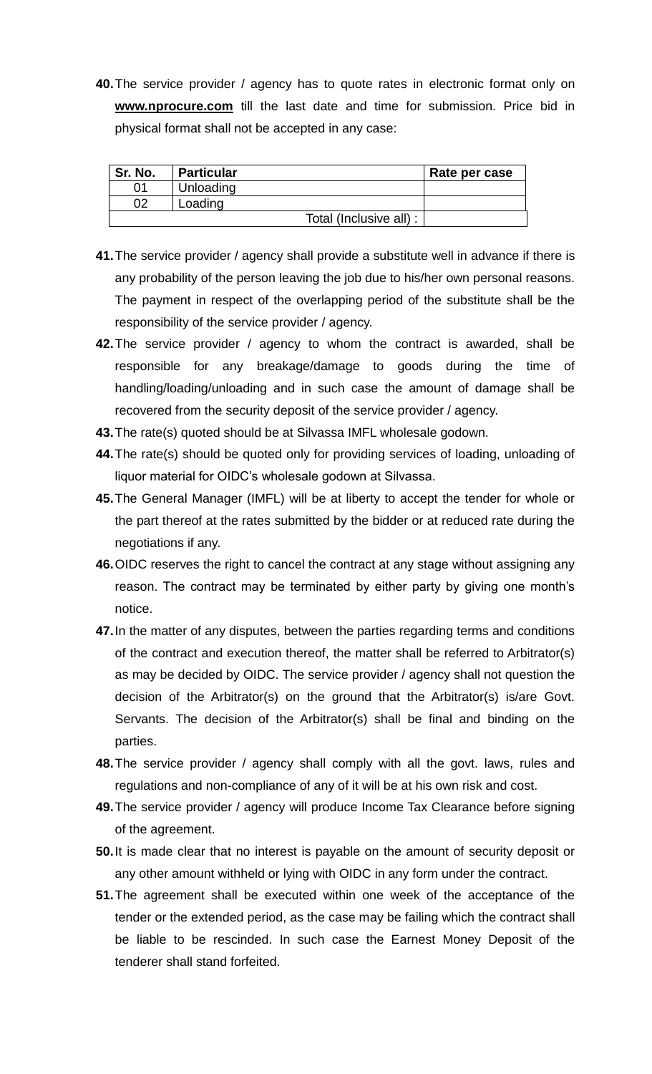**40.**The service provider / agency has to quote rates in electronic format only on **[www.nprocure.com](http://www.nprocure.com/)** till the last date and time for submission. Price bid in physical format shall not be accepted in any case:

| Sr. No. | <b>Particular</b>       | Rate per case |
|---------|-------------------------|---------------|
| በ1      | Unloading               |               |
| 02      | Loading                 |               |
|         | Total (Inclusive all) : |               |

- **41.**The service provider / agency shall provide a substitute well in advance if there is any probability of the person leaving the job due to his/her own personal reasons. The payment in respect of the overlapping period of the substitute shall be the responsibility of the service provider / agency.
- **42.**The service provider / agency to whom the contract is awarded, shall be responsible for any breakage/damage to goods during the time of handling/loading/unloading and in such case the amount of damage shall be recovered from the security deposit of the service provider / agency.
- **43.**The rate(s) quoted should be at Silvassa IMFL wholesale godown.
- **44.**The rate(s) should be quoted only for providing services of loading, unloading of liquor material for OIDC"s wholesale godown at Silvassa.
- **45.**The General Manager (IMFL) will be at liberty to accept the tender for whole or the part thereof at the rates submitted by the bidder or at reduced rate during the negotiations if any.
- **46.**OIDC reserves the right to cancel the contract at any stage without assigning any reason. The contract may be terminated by either party by giving one month"s notice.
- **47.**In the matter of any disputes, between the parties regarding terms and conditions of the contract and execution thereof, the matter shall be referred to Arbitrator(s) as may be decided by OIDC. The service provider / agency shall not question the decision of the Arbitrator(s) on the ground that the Arbitrator(s) is/are Govt. Servants. The decision of the Arbitrator(s) shall be final and binding on the parties.
- **48.**The service provider / agency shall comply with all the govt. laws, rules and regulations and non-compliance of any of it will be at his own risk and cost.
- **49.**The service provider / agency will produce Income Tax Clearance before signing of the agreement.
- **50.**It is made clear that no interest is payable on the amount of security deposit or any other amount withheld or lying with OIDC in any form under the contract.
- **51.**The agreement shall be executed within one week of the acceptance of the tender or the extended period, as the case may be failing which the contract shall be liable to be rescinded. In such case the Earnest Money Deposit of the tenderer shall stand forfeited.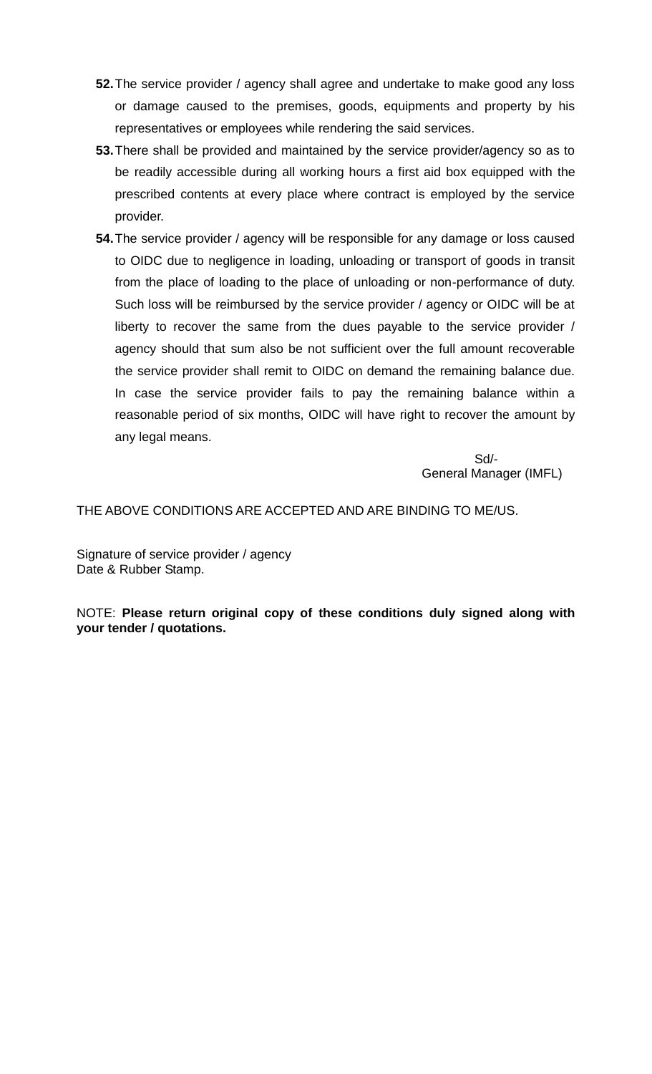- **52.**The service provider / agency shall agree and undertake to make good any loss or damage caused to the premises, goods, equipments and property by his representatives or employees while rendering the said services.
- **53.**There shall be provided and maintained by the service provider/agency so as to be readily accessible during all working hours a first aid box equipped with the prescribed contents at every place where contract is employed by the service provider.
- **54.**The service provider / agency will be responsible for any damage or loss caused to OIDC due to negligence in loading, unloading or transport of goods in transit from the place of loading to the place of unloading or non-performance of duty. Such loss will be reimbursed by the service provider / agency or OIDC will be at liberty to recover the same from the dues payable to the service provider / agency should that sum also be not sufficient over the full amount recoverable the service provider shall remit to OIDC on demand the remaining balance due. In case the service provider fails to pay the remaining balance within a reasonable period of six months, OIDC will have right to recover the amount by any legal means.

 Sd/- General Manager (IMFL)

THE ABOVE CONDITIONS ARE ACCEPTED AND ARE BINDING TO ME/US.

Signature of service provider / agency Date & Rubber Stamp.

NOTE: **Please return original copy of these conditions duly signed along with your tender / quotations.**